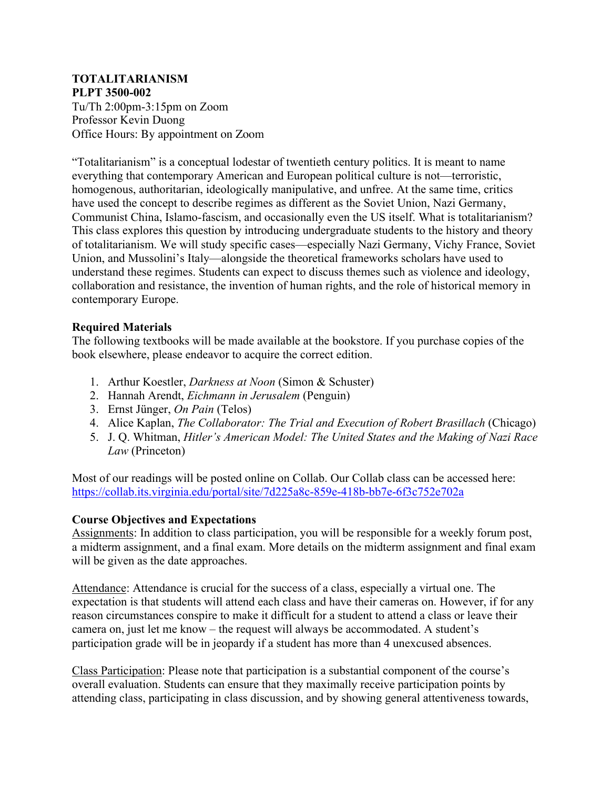#### **TOTALITARIANISM PLPT 3500-002**

Tu/Th 2:00pm-3:15pm on Zoom Professor Kevin Duong Office Hours: By appointment on Zoom

"Totalitarianism" is a conceptual lodestar of twentieth century politics. It is meant to name everything that contemporary American and European political culture is not—terroristic, homogenous, authoritarian, ideologically manipulative, and unfree. At the same time, critics have used the concept to describe regimes as different as the Soviet Union, Nazi Germany, Communist China, Islamo-fascism, and occasionally even the US itself. What is totalitarianism? This class explores this question by introducing undergraduate students to the history and theory of totalitarianism. We will study specific cases—especially Nazi Germany, Vichy France, Soviet Union, and Mussolini's Italy—alongside the theoretical frameworks scholars have used to understand these regimes. Students can expect to discuss themes such as violence and ideology, collaboration and resistance, the invention of human rights, and the role of historical memory in contemporary Europe.

## **Required Materials**

The following textbooks will be made available at the bookstore. If you purchase copies of the book elsewhere, please endeavor to acquire the correct edition.

- 1. Arthur Koestler, *Darkness at Noon* (Simon & Schuster)
- 2. Hannah Arendt, *Eichmann in Jerusalem* (Penguin)
- 3. Ernst Jünger, *On Pain* (Telos)
- 4. Alice Kaplan, *The Collaborator: The Trial and Execution of Robert Brasillach* (Chicago)
- 5. J. Q. Whitman, *Hitler's American Model: The United States and the Making of Nazi Race Law* (Princeton)

Most of our readings will be posted online on Collab. Our Collab class can be accessed here: https://collab.its.virginia.edu/portal/site/7d225a8c-859e-418b-bb7e-6f3c752e702a

# **Course Objectives and Expectations**

Assignments: In addition to class participation, you will be responsible for a weekly forum post, a midterm assignment, and a final exam. More details on the midterm assignment and final exam will be given as the date approaches.

Attendance: Attendance is crucial for the success of a class, especially a virtual one. The expectation is that students will attend each class and have their cameras on. However, if for any reason circumstances conspire to make it difficult for a student to attend a class or leave their camera on, just let me know – the request will always be accommodated. A student's participation grade will be in jeopardy if a student has more than 4 unexcused absences.

Class Participation: Please note that participation is a substantial component of the course's overall evaluation. Students can ensure that they maximally receive participation points by attending class, participating in class discussion, and by showing general attentiveness towards,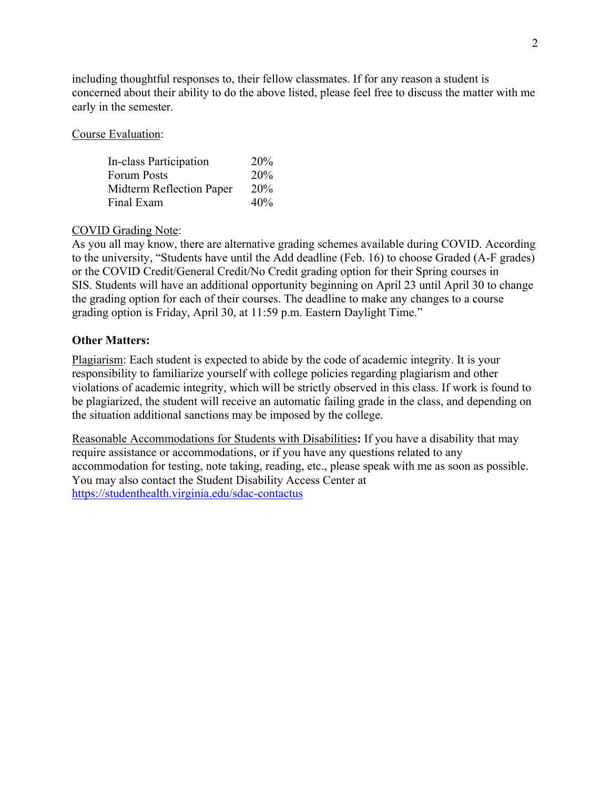including thoughtful responses to, their fellow classmates. If for any reason a student is concerned about their ability to do the above listed, please feel free to discuss the matter with me early in the semester.

Course Evaluation:

| In-class Participation   | 20% |
|--------------------------|-----|
| <b>Forum Posts</b>       | 20% |
| Midterm Reflection Paper | 20% |
| Final Exam               | 40% |

## COVID Grading Note:

As you all may know, there are alternative grading schemes available during COVID. According to the university, "Students have until the Add deadline (Feb. 16) to choose Graded (A-F grades) or the COVID Credit/General Credit/No Credit grading option for their Spring courses in SIS. Students will have an additional opportunity beginning on April 23 until April 30 to change the grading option for each of their courses. The deadline to make any changes to a course grading option is Friday, April 30, at 11:59 p.m. Eastern Daylight Time."

## **Other Matters:**

Plagiarism: Each student is expected to abide by the code of academic integrity. It is your responsibility to familiarize yourself with college policies regarding plagiarism and other violations of academic integrity, which will be strictly observed in this class. If work is found to be plagiarized, the student will receive an automatic failing grade in the class, and depending on the situation additional sanctions may be imposed by the college.

Reasonable Accommodations for Students with Disabilities**:** If you have a disability that may require assistance or accommodations, or if you have any questions related to any accommodation for testing, note taking, reading, etc., please speak with me as soon as possible. You may also contact the Student Disability Access Center at https://studenthealth.virginia.edu/sdac-contactus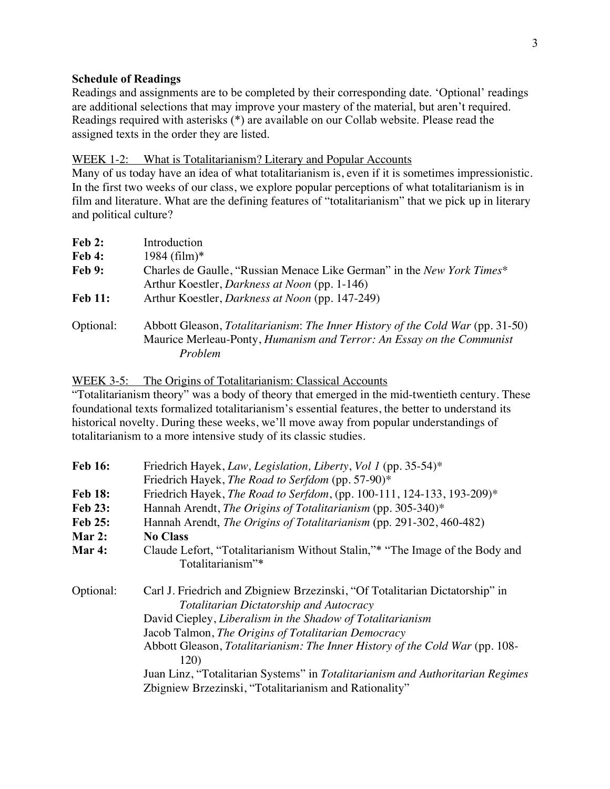### **Schedule of Readings**

Readings and assignments are to be completed by their corresponding date. 'Optional' readings are additional selections that may improve your mastery of the material, but aren't required. Readings required with asterisks (\*) are available on our Collab website. Please read the assigned texts in the order they are listed.

### WEEK 1-2: What is Totalitarianism? Literary and Popular Accounts

Many of us today have an idea of what totalitarianism is, even if it is sometimes impressionistic. In the first two weeks of our class, we explore popular perceptions of what totalitarianism is in film and literature. What are the defining features of "totalitarianism" that we pick up in literary and political culture?

| $\bf{Feb 2:}$  | Introduction                                                                                                                                                              |
|----------------|---------------------------------------------------------------------------------------------------------------------------------------------------------------------------|
| <b>Feb 4:</b>  | $1984 \text{ (film)}$ *                                                                                                                                                   |
| <b>Feb 9:</b>  | Charles de Gaulle, "Russian Menace Like German" in the <i>New York Times</i> *                                                                                            |
|                | Arthur Koestler, <i>Darkness at Noon</i> (pp. 1-146)                                                                                                                      |
| <b>Feb 11:</b> | Arthur Koestler, <i>Darkness at Noon</i> (pp. 147-249)                                                                                                                    |
| Optional:      | Abbott Gleason, Totalitarianism: The Inner History of the Cold War (pp. 31-50)<br>Maurice Merleau-Ponty, Humanism and Terror: An Essay on the Communist<br><i>Problem</i> |

WEEK 3-5: The Origins of Totalitarianism: Classical Accounts

"Totalitarianism theory" was a body of theory that emerged in the mid-twentieth century. These foundational texts formalized totalitarianism's essential features, the better to understand its historical novelty. During these weeks, we'll move away from popular understandings of totalitarianism to a more intensive study of its classic studies.

| <b>Feb 16:</b> | Friedrich Hayek, Law, Legislation, Liberty, Vol 1 (pp. 35-54)*                                                                 |
|----------------|--------------------------------------------------------------------------------------------------------------------------------|
|                | Friedrich Hayek, <i>The Road to Serfdom</i> (pp. 57-90)*                                                                       |
| <b>Feb 18:</b> | Friedrich Hayek, <i>The Road to Serfdom</i> , (pp. 100-111, 124-133, 193-209)*                                                 |
| <b>Feb 23:</b> | Hannah Arendt, The Origins of Totalitarianism (pp. 305-340)*                                                                   |
| <b>Feb 25:</b> | Hannah Arendt, The Origins of Totalitarianism (pp. 291-302, 460-482)                                                           |
| Mar 2:         | <b>No Class</b>                                                                                                                |
| Mar 4:         | Claude Lefort, "Totalitarianism Without Stalin,"* "The Image of the Body and                                                   |
|                | Totalitarianism"*                                                                                                              |
| Optional:      | Carl J. Friedrich and Zbigniew Brzezinski, "Of Totalitarian Dictatorship" in<br><b>Totalitarian Dictatorship and Autocracy</b> |
|                | David Ciepley, Liberalism in the Shadow of Totalitarianism                                                                     |
|                | Jacob Talmon, The Origins of Totalitarian Democracy                                                                            |
|                | Abbott Gleason, Totalitarianism: The Inner History of the Cold War (pp. 108-<br>120)                                           |
|                | Juan Linz, "Totalitarian Systems" in Totalitarianism and Authoritarian Regimes                                                 |
|                |                                                                                                                                |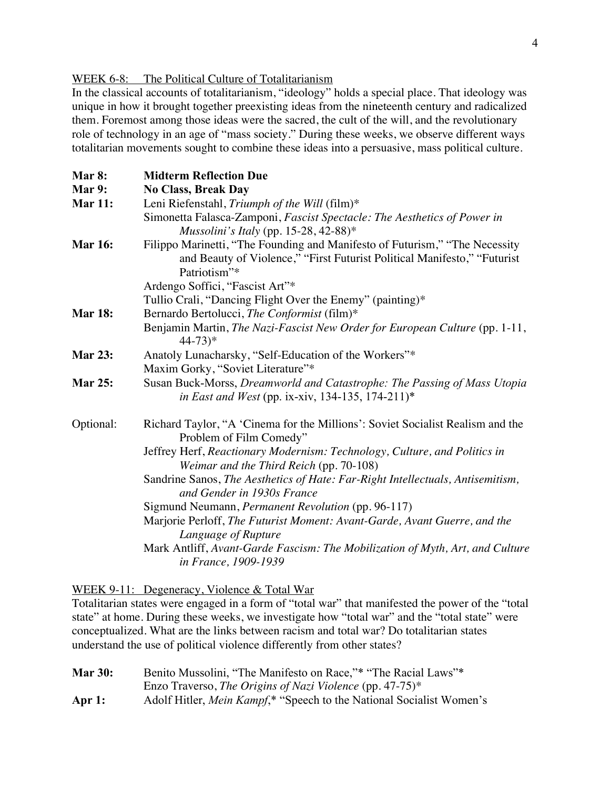#### WEEK 6-8: The Political Culture of Totalitarianism

In the classical accounts of totalitarianism, "ideology" holds a special place. That ideology was unique in how it brought together preexisting ideas from the nineteenth century and radicalized them. Foremost among those ideas were the sacred, the cult of the will, and the revolutionary role of technology in an age of "mass society." During these weeks, we observe different ways totalitarian movements sought to combine these ideas into a persuasive, mass political culture.

| Mar 8:         | <b>Midterm Reflection Due</b>                                                                                                                                           |
|----------------|-------------------------------------------------------------------------------------------------------------------------------------------------------------------------|
| Mar 9:         | <b>No Class, Break Day</b>                                                                                                                                              |
| <b>Mar 11:</b> | Leni Riefenstahl, Triumph of the Will (film)*                                                                                                                           |
|                | Simonetta Falasca-Zamponi, Fascist Spectacle: The Aesthetics of Power in                                                                                                |
|                | <i>Mussolini's Italy</i> (pp. 15-28, 42-88)*                                                                                                                            |
| <b>Mar 16:</b> | Filippo Marinetti, "The Founding and Manifesto of Futurism," "The Necessity<br>and Beauty of Violence," "First Futurist Political Manifesto," "Futurist<br>Patriotism"* |
|                | Ardengo Soffici, "Fascist Art"*                                                                                                                                         |
|                | Tullio Crali, "Dancing Flight Over the Enemy" (painting)*                                                                                                               |
| <b>Mar 18:</b> | Bernardo Bertolucci, The Conformist (film)*                                                                                                                             |
|                | Benjamin Martin, The Nazi-Fascist New Order for European Culture (pp. 1-11,<br>$44 - 73$ <sup>*</sup>                                                                   |
| <b>Mar 23:</b> | Anatoly Lunacharsky, "Self-Education of the Workers"*                                                                                                                   |
|                | Maxim Gorky, "Soviet Literature"*                                                                                                                                       |
| <b>Mar 25:</b> | Susan Buck-Morss, Dreamworld and Catastrophe: The Passing of Mass Utopia<br><i>in East and West</i> (pp. ix-xiv, 134-135, 174-211)*                                     |
| Optional:      | Richard Taylor, "A 'Cinema for the Millions': Soviet Socialist Realism and the<br>Problem of Film Comedy"                                                               |
|                | Jeffrey Herf, Reactionary Modernism: Technology, Culture, and Politics in<br>Weimar and the Third Reich (pp. 70-108)                                                    |
|                | Sandrine Sanos, The Aesthetics of Hate: Far-Right Intellectuals, Antisemitism,<br>and Gender in 1930s France                                                            |
|                | Sigmund Neumann, Permanent Revolution (pp. 96-117)                                                                                                                      |
|                | Marjorie Perloff, The Futurist Moment: Avant-Garde, Avant Guerre, and the<br>Language of Rupture                                                                        |
|                | Mark Antliff, Avant-Garde Fascism: The Mobilization of Myth, Art, and Culture<br>in France, 1909-1939                                                                   |

#### WEEK 9-11: Degeneracy, Violence & Total War

Totalitarian states were engaged in a form of "total war" that manifested the power of the "total state" at home. During these weeks, we investigate how "total war" and the "total state" were conceptualized. What are the links between racism and total war? Do totalitarian states understand the use of political violence differently from other states?

| <b>Mar 30:</b> | Benito Mussolini, "The Manifesto on Race,"* "The Racial Laws"*               |
|----------------|------------------------------------------------------------------------------|
|                | Enzo Traverso, The Origins of Nazi Violence (pp. 47-75)*                     |
| Apr $1:$       | Adolf Hitler, <i>Mein Kampf</i> ,* "Speech to the National Socialist Women's |